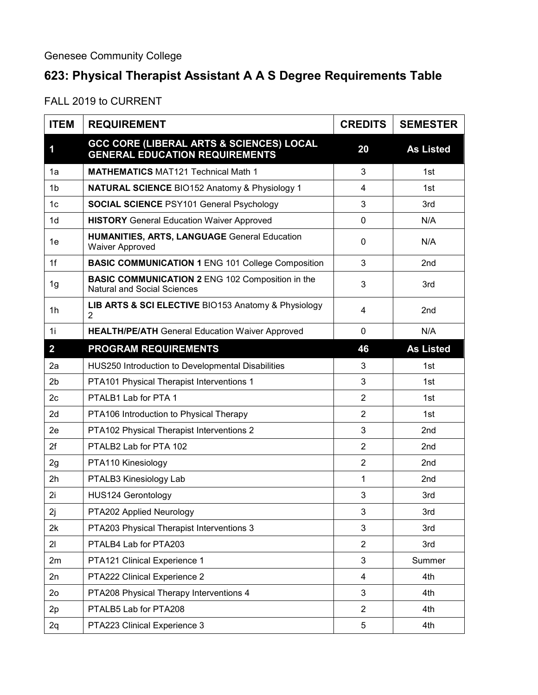## **623: Physical Therapist Assistant A A S Degree Requirements Table**

FALL 2019 to CURRENT

| <b>ITEM</b>    | <b>REQUIREMENT</b>                                                                            | <b>CREDITS</b> | <b>SEMESTER</b>  |
|----------------|-----------------------------------------------------------------------------------------------|----------------|------------------|
| 1              | <b>GCC CORE (LIBERAL ARTS &amp; SCIENCES) LOCAL</b><br><b>GENERAL EDUCATION REQUIREMENTS</b>  | 20             | <b>As Listed</b> |
| 1a             | <b>MATHEMATICS MAT121 Technical Math 1</b>                                                    | 3              | 1st              |
| 1 <sub>b</sub> | <b>NATURAL SCIENCE BIO152 Anatomy &amp; Physiology 1</b>                                      | 4              | 1st              |
| 1 <sub>c</sub> | <b>SOCIAL SCIENCE PSY101 General Psychology</b>                                               | 3              | 3rd              |
| 1 <sub>d</sub> | <b>HISTORY</b> General Education Waiver Approved                                              | $\mathbf 0$    | N/A              |
| 1e             | <b>HUMANITIES, ARTS, LANGUAGE General Education</b><br><b>Waiver Approved</b>                 | $\mathbf{0}$   | N/A              |
| 1f             | <b>BASIC COMMUNICATION 1 ENG 101 College Composition</b>                                      | 3              | 2 <sub>nd</sub>  |
| 1g             | <b>BASIC COMMUNICATION 2 ENG 102 Composition in the</b><br><b>Natural and Social Sciences</b> | 3              | 3rd              |
| 1h             | LIB ARTS & SCI ELECTIVE BIO153 Anatomy & Physiology<br>$\overline{2}$                         | 4              | 2 <sub>nd</sub>  |
| 1i             | <b>HEALTH/PE/ATH General Education Waiver Approved</b>                                        | $\mathbf 0$    | N/A              |
| $\overline{2}$ | <b>PROGRAM REQUIREMENTS</b>                                                                   | 46             | <b>As Listed</b> |
| 2a             | HUS250 Introduction to Developmental Disabilities                                             | 3              | 1st              |
| 2 <sub>b</sub> | PTA101 Physical Therapist Interventions 1                                                     | 3              | 1st              |
| 2 <sub>c</sub> | PTALB1 Lab for PTA 1                                                                          | $\overline{2}$ | 1st              |
| 2d             | PTA106 Introduction to Physical Therapy                                                       | $\overline{2}$ | 1st              |
| 2e             | PTA102 Physical Therapist Interventions 2                                                     | 3              | 2nd              |
| 2f             | PTALB2 Lab for PTA 102                                                                        | $\overline{2}$ | 2 <sub>nd</sub>  |
| 2g             | PTA110 Kinesiology                                                                            | $\overline{2}$ | 2nd              |
| 2h             | PTALB3 Kinesiology Lab                                                                        | 1              | 2 <sub>nd</sub>  |
| 2i             | <b>HUS124 Gerontology</b>                                                                     | 3              | 3rd              |
| 2j             | PTA202 Applied Neurology                                                                      | 3              | 3rd              |
| 2k             | PTA203 Physical Therapist Interventions 3                                                     | 3              | 3rd              |
| 21             | PTALB4 Lab for PTA203                                                                         | $\overline{2}$ | 3rd              |
| 2m             | PTA121 Clinical Experience 1                                                                  | 3              | Summer           |
| 2n             | PTA222 Clinical Experience 2                                                                  | $\overline{4}$ | 4th              |
| 2 <sub>o</sub> | PTA208 Physical Therapy Interventions 4                                                       | 3              | 4th              |
| 2p             | PTALB5 Lab for PTA208                                                                         | $\overline{2}$ | 4th              |
| 2q             | PTA223 Clinical Experience 3                                                                  | 5              | 4th              |